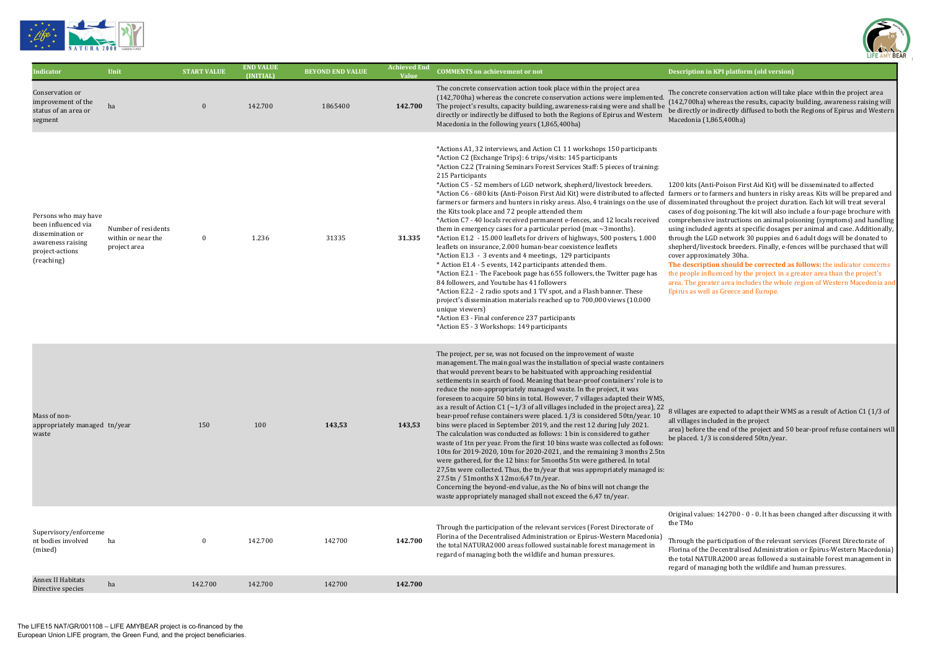

| Indicator                                                                                                             | Unit                                                      | <b>START VALUE</b> | <b>END VALUE</b><br>(INITIAL) | <b>BEYOND END VALUE</b> | <b>Achieved End</b><br><b>Value</b> | <b>COMMENTS on achievement or not</b>                                                                                                                                                                                                                                                                                                                                                                                                                                                                                                                                                                                                                                                                                                                                                                                                                                                                                                                                                                                                                                                                                                                                                                                                                                                                                                                                                          | Description                                                                                                                                                |
|-----------------------------------------------------------------------------------------------------------------------|-----------------------------------------------------------|--------------------|-------------------------------|-------------------------|-------------------------------------|------------------------------------------------------------------------------------------------------------------------------------------------------------------------------------------------------------------------------------------------------------------------------------------------------------------------------------------------------------------------------------------------------------------------------------------------------------------------------------------------------------------------------------------------------------------------------------------------------------------------------------------------------------------------------------------------------------------------------------------------------------------------------------------------------------------------------------------------------------------------------------------------------------------------------------------------------------------------------------------------------------------------------------------------------------------------------------------------------------------------------------------------------------------------------------------------------------------------------------------------------------------------------------------------------------------------------------------------------------------------------------------------|------------------------------------------------------------------------------------------------------------------------------------------------------------|
| Conservation or<br>improvement of the<br>status of an area or<br>segment                                              | ha                                                        | $\boldsymbol{0}$   | 142.700                       | 1865400                 | 142.700                             | The concrete conservation action took place within the project area<br>(142,700ha) whereas the concrete conservation actions were implemented.<br>The project's results, capacity building, awareness-raising were and shall be<br>directly or indirectly be diffused to both the Regions of Epirus and Western<br>Macedonia in the following years (1,865,400ha)                                                                                                                                                                                                                                                                                                                                                                                                                                                                                                                                                                                                                                                                                                                                                                                                                                                                                                                                                                                                                              | The concre<br>(142,700ha<br>be directly<br>Macedonia                                                                                                       |
| Persons who may have<br>been influenced via<br>dissemination or<br>awareness raising<br>project-actions<br>(reaching) | Number of residents<br>within or near the<br>project area | $\bf{0}$           | 1.236                         | 31335                   | 31.335                              | *Actions A1, 32 interviews, and Action C1 11 workshops 150 participants<br>*Action C2 (Exchange Trips): 6 trips/visits: 145 participants<br>*Action C2.2 (Training Seminars Forest Services Staff: 5 pieces of training:<br>215 Participants<br>*Action C5 - 52 members of LGD network, shepherd/livestock breeders.<br>*Action C6 - 680 kits (Anti-Poison First Aid Kit) were distributed to affected farmers or<br>farmers or farmers and hunters in risky areas. Also, 4 trainings on the use of disseminat<br>the Kits took place and 72 people attended them<br>*Action C7 - 40 locals received permanent e-fences, and 12 locals received<br>them in emergency cases for a particular period (max $\sim$ 3months).<br>*Action E1.2 - 15.000 leaflets for drivers of highways, 500 posters, 1.000<br>leaflets on insurance, 2.000 human-bear coexistence leaflets<br>*Action E1.3 - 3 events and 4 meetings, 129 participants<br>* Action E1.4 - 5 events, 142 participants attended them.<br>*Action E2.1 - The Facebook page has 655 followers, the Twitter page has<br>84 followers, and Youtube has 41 followers<br>*Action E2.2 - 2 radio spots and 1 TV spot, and a Flash banner. These<br>project's dissemination materials reached up to 700,000 views (10.000<br>unique viewers)<br>*Action E3 - Final conference 237 participants<br>*Action E5 - 3 Workshops: 149 participants | 1200 kits (<br>cases of do<br>compreher<br>using inclu<br>through the<br>shepherd/<br>cover appr<br>The descri<br>the people<br>area. The g<br>Epirus as v |
| Mass of non-<br>appropriately managed tn/year<br>waste                                                                |                                                           | 150                | 100                           | 143,53                  | 143,53                              | The project, per se, was not focused on the improvement of waste<br>management. The main goal was the installation of special waste containers<br>that would prevent bears to be habituated with approaching residential<br>settlements in search of food. Meaning that bear-proof containers' role is to<br>reduce the non-appropriately managed waste. In the project, it was<br>foreseen to acquire 50 bins in total. However, 7 villages adapted their WMS,<br>as a result of Action C1 ( $\sim$ 1/3 of all villages included in the project area), 22<br>bear-proof refuse containers were placed. 1/3 is considered 50tn/year. 10<br>bins were placed in September 2019, and the rest 12 during July 2021.<br>The calculation was conducted as follows: 1 bin is considered to gather<br>waste of 1tn per year. From the first 10 bins waste was collected as follows:<br>10tn for 2019-2020, 10tn for 2020-2021, and the remaining 3 months 2.5tn<br>were gathered, for the 12 bins: for 5months 5tn were gathered. In total<br>27,5tn were collected. Thus, the tn/year that was appropriately managed is:<br>27.5tn / 51 months X 12 mo: 6,47 tn/year.<br>Concerning the beyond-end value, as the No of bins will not change the<br>waste appropriately managed shall not exceed the 6,47 tn/year.                                                                                    | 8 villages a<br>all villages<br>area) befor<br>be placed.                                                                                                  |
| Supervisory/enforceme<br>nt bodies involved<br>(mixed)                                                                | ha                                                        | $\bf{0}$           | 142.700                       | 142700                  | 142.700                             | Through the participation of the relevant services (Forest Directorate of<br>Florina of the Decentralised Administration or Epirus-Western Macedonia)<br>the total NATURA2000 areas followed sustainable forest management in<br>regard of managing both the wildlife and human pressures.                                                                                                                                                                                                                                                                                                                                                                                                                                                                                                                                                                                                                                                                                                                                                                                                                                                                                                                                                                                                                                                                                                     | Original va<br>the TMo<br>Through th<br>Florina of t<br>the total N.<br>regard of n                                                                        |
| Annex II Habitats<br>Directive species                                                                                | ha                                                        | 142.700            | 142.700                       | 142700                  | 142.700                             |                                                                                                                                                                                                                                                                                                                                                                                                                                                                                                                                                                                                                                                                                                                                                                                                                                                                                                                                                                                                                                                                                                                                                                                                                                                                                                                                                                                                |                                                                                                                                                            |
|                                                                                                                       |                                                           |                    |                               |                         |                                     |                                                                                                                                                                                                                                                                                                                                                                                                                                                                                                                                                                                                                                                                                                                                                                                                                                                                                                                                                                                                                                                                                                                                                                                                                                                                                                                                                                                                |                                                                                                                                                            |



## n in KPI platform (old version)

ete conservation action will take place within the project area (142) whereas the results, capacity building, awareness raising will or indirectly diffused to both the Regions of Epirus and Western  $A(1,865,400ha)$ 

(Anti-Poison First Aid Kit) will be disseminated to affected  $\frac{1}{k}$  to farmers and hunters in risky areas. Kits will be prepared and ted throughout the project duration. Each kit will treat several og poisoning. The kit will also include a four-page brochure with nsive instructions on animal poisoning (symptoms) and handling uded agents at specific dosages per animal and case. Additionally, the LGD network 30 puppies and 6 adult dogs will be donated to livestock breeders. Finally, e-fences will be purchased that will roximately 30ha.

ription should be corrected as follows: the indicator concerns influenced by the project in a greater area than the project's greater area includes the whole region of Western Macedonia and well as Greece and Europe.

are expected to adapt their WMS as a result of Action C1 (1/3 of included in the project

re the end of the project and 50 bear-proof refuse containers will  $1/3$  is considered 50tn/year.

alues: 142700 - 0 - 0. It has been changed after discussing it with

he participation of the relevant services (Forest Directorate of the Decentralised Administration or Epirus-Western Macedonia) ATURA2000 areas followed a sustainable forest management in managing both the wildlife and human pressures.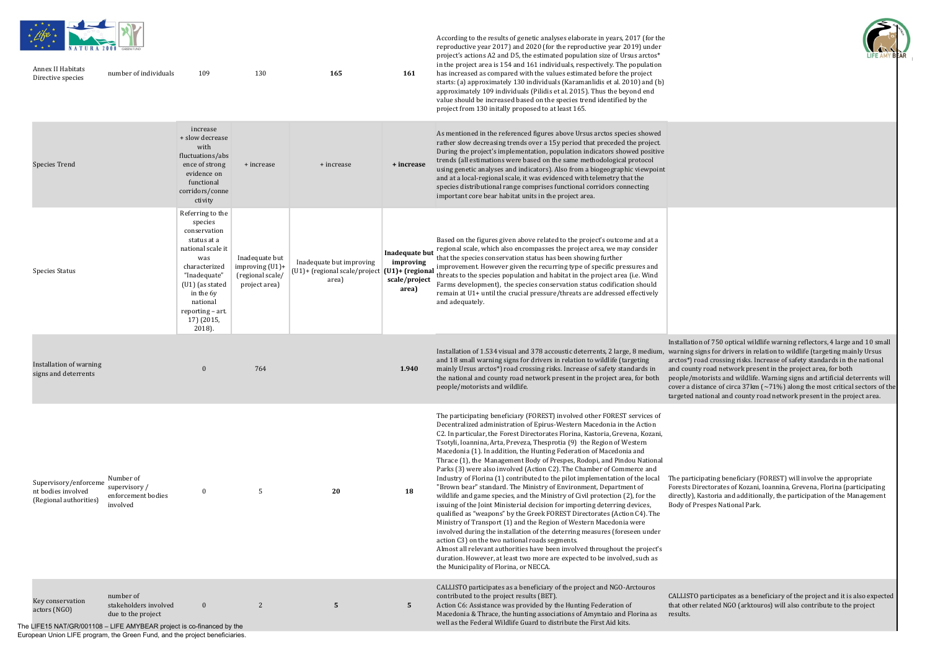According to the results of genetic analyses elaborate in years, 2017 (for the



| * * *<br>Annex II Habitats<br>Directive species                                                           | and the con-<br>NATURA 2000 GREEN FUND<br>number of individuals | 109                                                                                                                                                                                                             | 130                                                                       | 165                                                                | 161                                                                                | reproductive year 2017) and 2020 (for the reproductive year 2019) under<br>project's actions A2 and D5, the estimated population size of Ursus arctos*<br>in the project area is 154 and 161 individuals, respectively. The population<br>has increased as compared with the values estimated before the project<br>starts: (a) approximately 130 individuals (Karamanlidis et al. 2010) and (b)<br>approximately 109 individuals (Pilidis et al. 2015). Thus the beyond end<br>value should be increased based on the species trend identified by the<br>project from 130 initally proposed to at least 165.                                                                                                                                                                                                                                                                                                                                                                                                                                                                                                                                                                                                                                                                                                                                        |                                                                               |
|-----------------------------------------------------------------------------------------------------------|-----------------------------------------------------------------|-----------------------------------------------------------------------------------------------------------------------------------------------------------------------------------------------------------------|---------------------------------------------------------------------------|--------------------------------------------------------------------|------------------------------------------------------------------------------------|------------------------------------------------------------------------------------------------------------------------------------------------------------------------------------------------------------------------------------------------------------------------------------------------------------------------------------------------------------------------------------------------------------------------------------------------------------------------------------------------------------------------------------------------------------------------------------------------------------------------------------------------------------------------------------------------------------------------------------------------------------------------------------------------------------------------------------------------------------------------------------------------------------------------------------------------------------------------------------------------------------------------------------------------------------------------------------------------------------------------------------------------------------------------------------------------------------------------------------------------------------------------------------------------------------------------------------------------------|-------------------------------------------------------------------------------|
| <b>Species Trend</b>                                                                                      |                                                                 | increase<br>+ slow decrease<br>with<br>fluctuations/abs<br>ence of strong<br>evidence on<br>functional<br>corridors/conne<br>ctivity                                                                            | + increase                                                                | + increase                                                         | + increase                                                                         | As mentioned in the referenced figures above Ursus arctos species showed<br>rather slow decreasing trends over a 15y period that preceded the project.<br>During the project's implementation, population indicators showed positive<br>trends (all estimations were based on the same methodological protocol<br>using genetic analyses and indicators). Also from a biogeographic viewpoint<br>and at a local-regional scale, it was evidenced with telemetry that the<br>species distributional range comprises functional corridors connecting<br>important core bear habitat units in the project area.                                                                                                                                                                                                                                                                                                                                                                                                                                                                                                                                                                                                                                                                                                                                         |                                                                               |
| <b>Species Status</b>                                                                                     |                                                                 | Referring to the<br>species<br>conservation<br>status at a<br>national scale it<br>was<br>characterized<br>"Inadequate"<br>(U1) (as stated<br>in the 6y<br>national<br>reporting - art.<br>17) (2015,<br>2018). | Inadequate but<br>improving $(U1)$ +<br>(regional scale/<br>project area) | Inadequate but improving<br>(U1)+ (regional scale/project<br>area) | <b>Inadequate but</b><br>improving<br>$(U1)$ + (regional<br>scale/project<br>area) | Based on the figures given above related to the project's outcome and at a<br>regional scale, which also encompasses the project area, we may consider<br>that the species conservation status has been showing further<br>improvement. However given the recurring type of specific pressures and<br>threats to the species population and habitat in the project area (i.e. Wind<br>Farms development), the species conservation status codification should<br>remain at U1+ until the crucial pressure/threats are addressed effectively<br>and adequately.                                                                                                                                                                                                                                                                                                                                                                                                                                                                                                                                                                                                                                                                                                                                                                                       |                                                                               |
| Installation of warning<br>signs and deterrents                                                           |                                                                 | $\boldsymbol{0}$                                                                                                                                                                                                | 764                                                                       |                                                                    | 1.940                                                                              | Installation of 1.534 visual and 378 accoustic deterrents, 2 large, 8 medium,<br>and 18 small warning signs for drivers in relation to wildlife (targeting<br>mainly Ursus arctos*) road crossing risks. Increase of safety standards in<br>the national and county road network present in the project area, for both<br>people/motorists and wildlife.                                                                                                                                                                                                                                                                                                                                                                                                                                                                                                                                                                                                                                                                                                                                                                                                                                                                                                                                                                                             | Installat<br>warning<br>arctos*)<br>and cou<br>people/<br>cover a<br>targeted |
| Supervisory/enforceme<br>nt bodies involved<br>(Regional authorities)                                     | Number of<br>supervisory/<br>enforcement bodies<br>involved     | $\bf{0}$                                                                                                                                                                                                        | 5                                                                         | 20                                                                 | 18                                                                                 | The participating beneficiary (FOREST) involved other FOREST services of<br>Decentralized administration of Epirus-Western Macedonia in the Action<br>C2. In particular, the Forest Directorates Florina, Kastoria, Grevena, Kozani,<br>Tsotyli, Ioannina, Arta, Preveza, Thesprotia (9) the Region of Western<br>Macedonia (1). In addition, the Hunting Federation of Macedonia and<br>Thrace (1), the Management Body of Prespes, Rodopi, and Pindou National<br>Parks (3) were also involved (Action C2). The Chamber of Commerce and<br>Industry of Florina (1) contributed to the pilot implementation of the local<br>"Brown bear" standard. The Ministry of Environment, Department of<br>wildlife and game species, and the Ministry of Civil protection (2), for the<br>issuing of the Joint Ministerial decision for importing deterring devices,<br>qualified as "weapons" by the Greek FOREST Directorates (Action C4). The<br>Ministry of Transport (1) and the Region of Western Macedonia were<br>involved during the installation of the deterring measures (foreseen under<br>action C3) on the two national roads segments.<br>Almost all relevant authorities have been involved throughout the project's<br>duration. However, at least two more are expected to be involved, such as<br>the Municipality of Florina, or NECCA. | The part<br>Forests<br>directly)<br>Body of                                   |
| Key conservation<br>actors (NGO)<br>The LIFE15 NAT/GR/001108 - LIFE AMYBEAR project is co-financed by the | number of<br>stakeholders involved<br>due to the project        | $\boldsymbol{0}$                                                                                                                                                                                                | 2                                                                         | $\sqrt{5}$                                                         | 5                                                                                  | CALLISTO participates as a beneficiary of the project and NGO-Arctouros<br>contributed to the project results (BET).<br>Action C6: Assistance was provided by the Hunting Federation of<br>Macedonia & Thrace, the hunting associations of Amyntaio and Florina as<br>well as the Federal Wildlife Guard to distribute the First Aid kits.                                                                                                                                                                                                                                                                                                                                                                                                                                                                                                                                                                                                                                                                                                                                                                                                                                                                                                                                                                                                           | <b>CALLIST</b><br>that oth<br>results.                                        |

European Union LIFE program, the Green Fund, and the project beneficiaries.



allation of 750 optical wildlife warning reflectors, 4 large and  $10$  small ning signs for drivers in relation to wildlife (targeting mainly Ursus os\*) road crossing risks. Increase of safety standards in the national county road network present in the project area, for both ple/motorists and wildlife. Warning signs and artificial deterrents will r a distance of circa  $37 \text{km}$  ( $\sim 71\%$ ) along the most critical sectors of the eted national and county road network present in the project area.

participating beneficiary (FOREST) will involve the appropriate ests Directorates of Kozani, Ioannina, Grevena, Florina (participating ctly), Kastoria and additionally, the participation of the Management of Prespes National Park.

 $LISTO$  participates as a beneficiary of the project and it is also expected other related NGO (arktouros) will also contribute to the project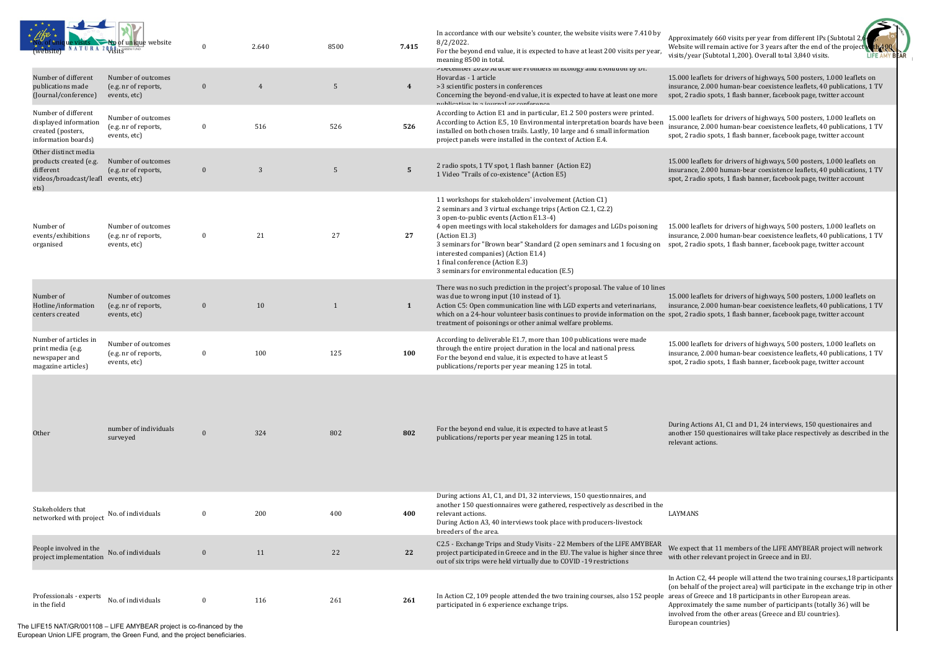| NATURA 2000 SIL GREEN FUND<br>website)                                                                     | No of unique website                                       | $\bf{0}$         | 2.640 | 8500         | 7.415            | In accordance with our website's counter, the website visits were 7.410 by<br>$8/2/2022$ .<br>For the beyond end value, it is expected to have at least 200 visits per year,<br>meaning 8500 in total.                                                                                                                                                                                                                                                           | Approxima<br>Website w<br>visits/year                 |
|------------------------------------------------------------------------------------------------------------|------------------------------------------------------------|------------------|-------|--------------|------------------|------------------------------------------------------------------------------------------------------------------------------------------------------------------------------------------------------------------------------------------------------------------------------------------------------------------------------------------------------------------------------------------------------------------------------------------------------------------|-------------------------------------------------------|
| Number of different<br>publications made<br>(Journal/conference)                                           | Number of outcomes<br>(e.g. nr of reports,<br>events, etc) | $\boldsymbol{0}$ | 4     | 5            | $\boldsymbol{4}$ | >December 2020 Article the Frontiers in Ecology and Evolution by Dr.<br>Hovardas - 1 article<br>>3 scientific posters in conferences<br>Concerning the beyond-end value, it is expected to have at least one more<br>publication in a iournal or conforonco                                                                                                                                                                                                      | 15.000 lea<br>insurance,<br>spot, 2 rad               |
| Number of different<br>displayed information<br>created (posters,<br>information boards)                   | Number of outcomes<br>(e.g. nr of reports,<br>events, etc) | $\bf{0}$         | 516   | 526          | 526              | According to Action E1 and in particular, E1.2 500 posters were printed.<br>According to Action E.5, 10 Environmental interpretation boards have been<br>installed on both chosen trails. Lastly, 10 large and 6 small information<br>project panels were installed in the context of Action E.4.                                                                                                                                                                | 15.000 lea<br>insurance,<br>spot, 2 rad               |
| Other distinct media<br>products created (e.g.<br>different<br>videos/broadcast/leafl events, etc)<br>ets) | Number of outcomes<br>(e.g. nr of reports,                 | $\mathbf{0}$     | 3     | 5            | $5\phantom{.0}$  | 2 radio spots, 1 TV spot, 1 flash banner (Action E2)<br>1 Video "Trails of co-existence" (Action E5)                                                                                                                                                                                                                                                                                                                                                             | 15.000 lea<br>insurance,<br>spot, 2 rad               |
| Number of<br>events/exhibitions<br>organised                                                               | Number of outcomes<br>(e.g. nr of reports,<br>events, etc) | $\bf{0}$         | 21    | 27           | 27               | 11 workshops for stakeholders' involvement (Action C1)<br>2 seminars and 3 virtual exchange trips (Action C2.1, C2.2)<br>3 open-to-public events (Action E1.3-4)<br>4 open meetings with local stakeholders for damages and LGDs poisoning<br>(Action E1.3)<br>3 seminars for "Brown bear" Standard (2 open seminars and 1 focusing on<br>interested companies) (Action E1.4)<br>1 final conference (Action E.3)<br>3 seminars for environmental education (E.5) | 15.000 lea<br>insurance,<br>spot, 2 rad               |
| Number of<br>Hotline/information<br>centers created                                                        | Number of outcomes<br>(e.g. nr of reports,<br>events, etc) | $\mathbf{0}$     | 10    | $\mathbf{1}$ | $\mathbf{1}$     | There was no such prediction in the project's proposal. The value of 10 lines<br>was due to wrong input (10 instead of 1).<br>Action C5: Open communication line with LGD experts and veterinarians,<br>which on a 24-hour volunteer basis continues to provide information on the spot, 2 rad<br>treatment of poisonings or other animal welfare problems.                                                                                                      | 15.000 lea<br>insurance,                              |
| Number of articles in<br>print media (e.g.<br>newspaper and<br>magazine articles)                          | Number of outcomes<br>(e.g. nr of reports,<br>events, etc) | $\bf{0}$         | 100   | 125          | 100              | According to deliverable E1.7, more than 100 publications were made<br>through the entire project duration in the local and national press.<br>For the beyond end value, it is expected to have at least 5<br>publications/reports per year meaning 125 in total.                                                                                                                                                                                                | 15.000 lea<br>insurance,<br>spot, 2 rad               |
| Other                                                                                                      | number of individuals<br>surveyed                          | $\mathbf{0}$     | 324   | 802          | 802              | For the beyond end value, it is expected to have at least 5<br>publications/reports per year meaning 125 in total.                                                                                                                                                                                                                                                                                                                                               | During Act<br>another 15<br>relevant ac               |
| Stakeholders that<br>networked with project                                                                | No. of individuals                                         | $\mathbf{0}$     | 200   | 400          | 400              | During actions A1, C1, and D1, 32 interviews, 150 questionnaires, and<br>another 150 questionnaires were gathered, respectively as described in the<br>relevant actions.<br>During Action A3, 40 interviews took place with producers-livestock<br>breeders of the area.                                                                                                                                                                                         | LAYMANS                                               |
| People involved in the<br>project implementation                                                           | No. of individuals                                         | $\mathbf{0}$     | 11    | 22           | 22               | C2.5 - Exchange Trips and Study Visits - 22 Members of the LIFE AMYBEAR<br>project participated in Greece and in the EU. The value is higher since three<br>out of six trips were held virtually due to COVID -19 restrictions                                                                                                                                                                                                                                   | We expect<br>with other                               |
| Professionals - experts<br>in the field                                                                    | No. of individuals                                         | $\bf{0}$         | 116   | 261          | 261              | In Action C2, 109 people attended the two training courses, also 152 people areas of Gr<br>participated in 6 experience exchange trips.                                                                                                                                                                                                                                                                                                                          | In Action C<br>(on behalf<br>Approxima<br>involved fr |

 $x * x = 1$ 

ately 660 visits per year from different IPs (Subtotal 2, ill remain active for 3 years after the end of the project r (Subtotal 1,200). Overall total 3,840 visits. **AR** LIFE AMY

flets for drivers of highways, 500 posters, 1.000 leaflets on , 2.000 human-bear coexistence leaflets, 40 publications, 1 TV lio spots, 1 flash banner, facebook page, twitter account

flets for drivers of highways, 500 posters, 1.000 leaflets on 2.000 human-bear coexistence leaflets, 40 publications, 1 TV lio spots, 1 flash banner, facebook page, twitter account

flets for drivers of highways, 500 posters, 1.000 leaflets on 2.000 human-bear coexistence leaflets, 40 publications, 1 TV lio spots, 1 flash banner, facebook page, twitter account

flets for drivers of highways, 500 posters, 1.000 leaflets on 2.000 human-bear coexistence leaflets, 40 publications, 1 TV lio spots, 1 flash banner, facebook page, twitter account

flets for drivers of highways, 500 posters, 1.000 leaflets on 2.000 human-bear coexistence leaflets, 40 publications, 1 TV lio spots, 1 flash banner, facebook page, twitter account

flets for drivers of highways, 500 posters, 1.000 leaflets on , 2.000 human-bear coexistence leaflets, 40 publications, 1 TV lio spots, 1 flash banner, facebook page, twitter account

tions A1, C1 and D1, 24 interviews, 150 questionaires and  $50$  questionaires will take place respectively as described in the ctions.

that 11 members of the LIFE AMYBEAR project will network relevant project in Greece and in EU.

C2, 44 people will attend the two training courses,18 participants of the project area) will participate in the exchange trip in other reece and 18 participants in other European areas. ately the same number of participants (totally 36) will be rom the other areas (Greece and EU countries).